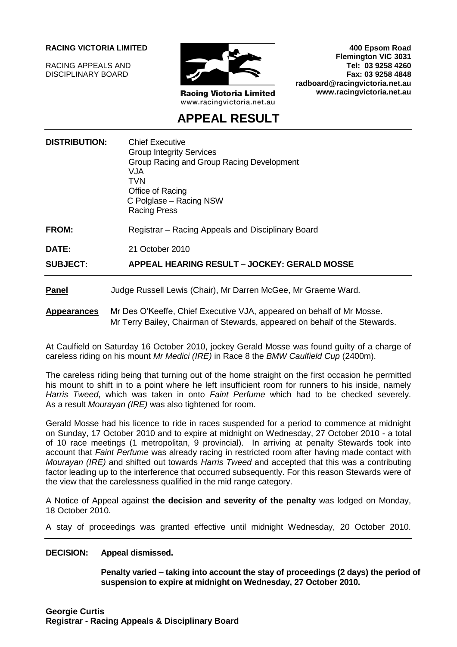#### **RACING VICTORIA LIMITED**

RACING APPEALS AND DISCIPLINARY BOARD



**Racing Victoria Limited** www.racingvictoria.net.au

**400 Epsom Road Flemington VIC 3031 Tel: 03 9258 4260 Fax: 03 9258 4848 radboard@racingvictoria.net.au www.racingvictoria.net.au**

# **APPEAL RESULT**

| <b>DISTRIBUTION:</b> | <b>Chief Executive</b><br><b>Group Integrity Services</b><br>Group Racing and Group Racing Development<br>VJA<br>TVN<br>Office of Racing<br>C Polglase - Racing NSW<br><b>Racing Press</b> |
|----------------------|--------------------------------------------------------------------------------------------------------------------------------------------------------------------------------------------|
| <b>FROM:</b>         | Registrar – Racing Appeals and Disciplinary Board                                                                                                                                          |
| DATE:                | 21 October 2010                                                                                                                                                                            |
| <b>SUBJECT:</b>      | APPEAL HEARING RESULT – JOCKEY: GERALD MOSSE                                                                                                                                               |
| <b>Panel</b>         | Judge Russell Lewis (Chair), Mr Darren McGee, Mr Graeme Ward.                                                                                                                              |
| <b>Appearances</b>   | Mr Des O'Keeffe, Chief Executive VJA, appeared on behalf of Mr Mosse.<br>Mr Terry Bailey, Chairman of Stewards, appeared on behalf of the Stewards.                                        |

At Caulfield on Saturday 16 October 2010, jockey Gerald Mosse was found guilty of a charge of careless riding on his mount *Mr Medici (IRE)* in Race 8 the *BMW Caulfield Cup* (2400m).

The careless riding being that turning out of the home straight on the first occasion he permitted his mount to shift in to a point where he left insufficient room for runners to his inside, namely *Harris Tweed*, which was taken in onto *Faint Perfume* which had to be checked severely. As a result *Mourayan (IRE)* was also tightened for room.

Gerald Mosse had his licence to ride in races suspended for a period to commence at midnight on Sunday, 17 October 2010 and to expire at midnight on Wednesday, 27 October 2010 - a total of 10 race meetings (1 metropolitan, 9 provincial). In arriving at penalty Stewards took into account that *Faint Perfume* was already racing in restricted room after having made contact with *Mourayan (IRE)* and shifted out towards *Harris Tweed* and accepted that this was a contributing factor leading up to the interference that occurred subsequently. For this reason Stewards were of the view that the carelessness qualified in the mid range category.

A Notice of Appeal against **the decision and severity of the penalty** was lodged on Monday, 18 October 2010.

A stay of proceedings was granted effective until midnight Wednesday, 20 October 2010.

#### **DECISION: Appeal dismissed.**

**Penalty varied – taking into account the stay of proceedings (2 days) the period of suspension to expire at midnight on Wednesday, 27 October 2010.**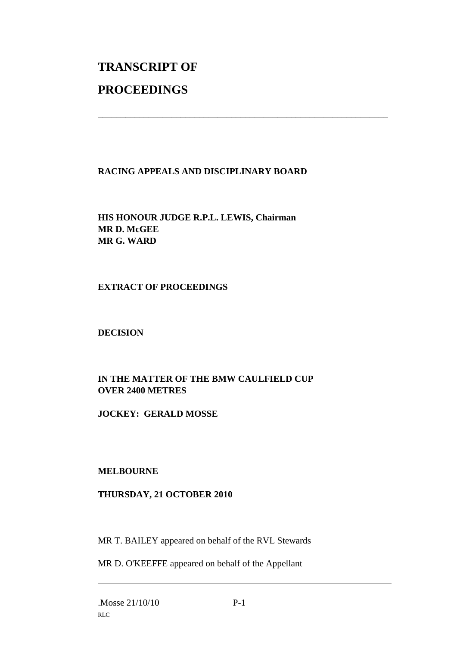# **TRANSCRIPT OF PROCEEDINGS**

## **RACING APPEALS AND DISCIPLINARY BOARD**

\_\_\_\_\_\_\_\_\_\_\_\_\_\_\_\_\_\_\_\_\_\_\_\_\_\_\_\_\_\_\_\_\_\_\_\_\_\_\_\_\_\_\_\_\_\_\_\_\_\_\_\_\_\_\_\_\_\_\_\_\_\_\_

**HIS HONOUR JUDGE R.P.L. LEWIS, Chairman MR D. McGEE MR G. WARD**

#### **EXTRACT OF PROCEEDINGS**

## **DECISION**

## **IN THE MATTER OF THE BMW CAULFIELD CUP OVER 2400 METRES**

#### **JOCKEY: GERALD MOSSE**

#### **MELBOURNE**

#### **THURSDAY, 21 OCTOBER 2010**

MR T. BAILEY appeared on behalf of the RVL Stewards

MR D. O'KEEFFE appeared on behalf of the Appellant